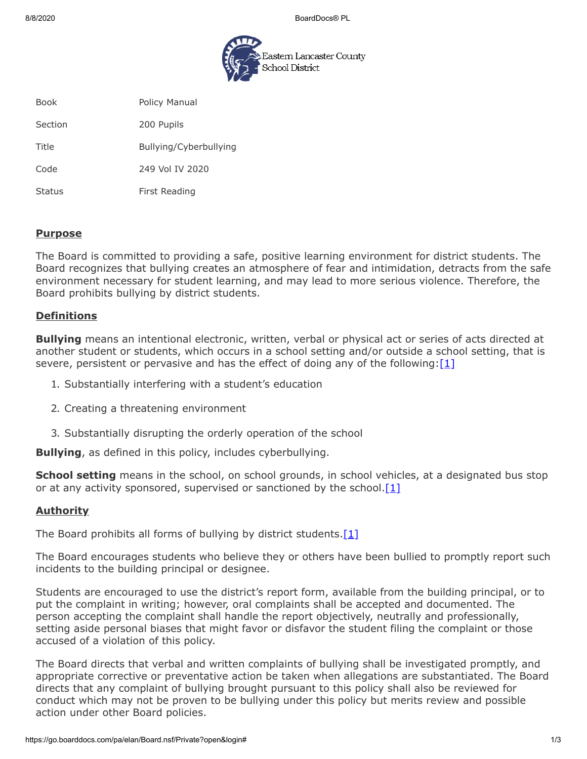8/8/2020 BoardDocs® PL



Book **Policy Manual** 

Section 200 Pupils

Title Bullying/Cyberbullying

Code 249 Vol IV 2020

Status First Reading

#### **Purpose**

The Board is committed to providing a safe, positive learning environment for district students. The Board recognizes that bullying creates an atmosphere of fear and intimidation, detracts from the safe environment necessary for student learning, and may lead to more serious violence. Therefore, the Board prohibits bullying by district students.

## **Definitions**

**Bullying** means an intentional electronic, written, verbal or physical act or series of acts directed at another student or students, which occurs in a school setting and/or outside a school setting, that is severe, persistent or pervasive and has the effect of doing any of the following: $[1]$ 

- 1. Substantially interfering with a student's education
- 2. Creating a threatening environment
- 3. Substantially disrupting the orderly operation of the school

**Bullying**, as defined in this policy, includes cyberbullying.

**School setting** means in the school, on school grounds, in school vehicles, at a designated bus stop or at any activity sponsored, supervised or sanctioned by the school.  $[1]$ 

### **Authority**

The Board prohibits all forms of bullying by district students.  $[1]$ 

The Board encourages students who believe they or others have been bullied to promptly report such incidents to the building principal or designee.

Students are encouraged to use the district's report form, available from the building principal, or to put the complaint in writing; however, oral complaints shall be accepted and documented. The person accepting the complaint shall handle the report objectively, neutrally and professionally, setting aside personal biases that might favor or disfavor the student filing the complaint or those accused of a violation of this policy.

The Board directs that verbal and written complaints of bullying shall be investigated promptly, and appropriate corrective or preventative action be taken when allegations are substantiated. The Board directs that any complaint of bullying brought pursuant to this policy shall also be reviewed for conduct which may not be proven to be bullying under this policy but merits review and possible action under other Board policies.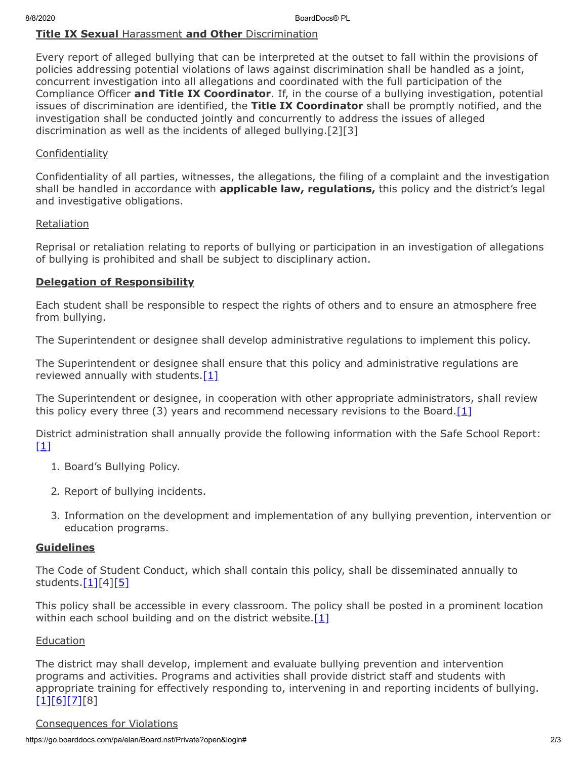## **Title IX Sexual** Harassment **and Other** Discrimination

Every report of alleged bullying that can be interpreted at the outset to fall within the provisions of policies addressing potential violations of laws against discrimination shall be handled as a joint, concurrent investigation into all allegations and coordinated with the full participation of the Compliance Officer **and Title IX Coordinator**. If, in the course of a bullying investigation, potential issues of discrimination are identified, the **Title IX Coordinator** shall be promptly notified, and the investigation shall be conducted jointly and concurrently to address the issues of alleged discrimination as well as the incidents of alleged bullying.[2][3]

## **Confidentiality**

Confidentiality of all parties, witnesses, the allegations, the filing of a complaint and the investigation shall be handled in accordance with **applicable law, regulations,** this policy and the district's legal and investigative obligations.

### **Retaliation**

Reprisal or retaliation relating to reports of bullying or participation in an investigation of allegations of bullying is prohibited and shall be subject to disciplinary action.

# **Delegation of Responsibility**

Each student shall be responsible to respect the rights of others and to ensure an atmosphere free from bullying.

The Superintendent or designee shall develop administrative regulations to implement this policy.

The Superintendent or designee shall ensure that this policy and administrative regulations are reviewed annually with students. $[1]$ 

The Superintendent or designee, in cooperation with other appropriate administrators, shall review this policy every three (3) years and recommend necessary revisions to the Board. $[1]$ 

District administration shall annually provide the following information with the Safe School Report: [\[1\]](http://www.legis.state.pa.us/cfdocs/legis/LI/uconsCheck.cfm?txtType=HTM&yr=1949&sessInd=0&smthLwInd=0&act=14&chpt=13A&sctn=3&subsctn=1)

- 1. Board's Bullying Policy.
- 2. Report of bullying incidents.
- 3. Information on the development and implementation of any bullying prevention, intervention or education programs.

# **Guidelines**

The Code of Student Conduct, which shall contain this policy, shall be disseminated annually to students. $[1][4][5]$  $[1][4][5]$ 

This policy shall be accessible in every classroom. The policy shall be posted in a prominent location within each school building and on the district website. $[1]$ 

### **Education**

The district may shall develop, implement and evaluate bullying prevention and intervention programs and activities. Programs and activities shall provide district staff and students with appropriate training for effectively responding to, intervening in and reporting incidents of bullying.  $[1][6][7][8]$  $[1][6][7][8]$  $[1][6][7][8]$  $[1][6][7][8]$ 

### Consequences for Violations